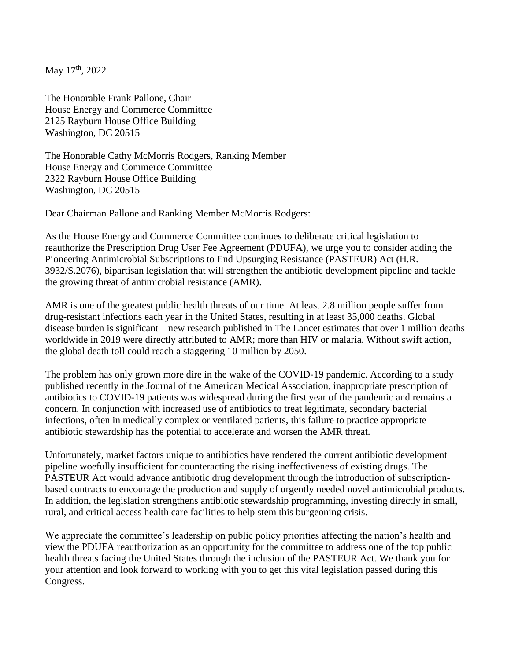May 17<sup>th</sup>, 2022

The Honorable Frank Pallone, Chair House Energy and Commerce Committee 2125 Rayburn House Office Building Washington, DC 20515

The Honorable Cathy McMorris Rodgers, Ranking Member House Energy and Commerce Committee 2322 Rayburn House Office Building Washington, DC 20515

Dear Chairman Pallone and Ranking Member McMorris Rodgers:

As the House Energy and Commerce Committee continues to deliberate critical legislation to reauthorize the Prescription Drug User Fee Agreement (PDUFA), we urge you to consider adding the Pioneering Antimicrobial Subscriptions to End Upsurging Resistance (PASTEUR) Act (H.R. 3932/S.2076), bipartisan legislation that will strengthen the antibiotic development pipeline and tackle the growing threat of antimicrobial resistance (AMR).

AMR is one of the greatest public health threats of our time. At least 2.8 million people suffer from drug-resistant infections each year in the United States, resulting in at least 35,000 deaths. Global disease burden is significant—new research published in The Lancet estimates that over 1 million deaths worldwide in 2019 were directly attributed to AMR; more than HIV or malaria. Without swift action, the global death toll could reach a staggering 10 million by 2050.

The problem has only grown more dire in the wake of the COVID-19 pandemic. According to a study published recently in the Journal of the American Medical Association, inappropriate prescription of antibiotics to COVID-19 patients was widespread during the first year of the pandemic and remains a concern. In conjunction with increased use of antibiotics to treat legitimate, secondary bacterial infections, often in medically complex or ventilated patients, this failure to practice appropriate antibiotic stewardship has the potential to accelerate and worsen the AMR threat.

Unfortunately, market factors unique to antibiotics have rendered the current antibiotic development pipeline woefully insufficient for counteracting the rising ineffectiveness of existing drugs. The PASTEUR Act would advance antibiotic drug development through the introduction of subscriptionbased contracts to encourage the production and supply of urgently needed novel antimicrobial products. In addition, the legislation strengthens antibiotic stewardship programming, investing directly in small, rural, and critical access health care facilities to help stem this burgeoning crisis.

We appreciate the committee's leadership on public policy priorities affecting the nation's health and view the PDUFA reauthorization as an opportunity for the committee to address one of the top public health threats facing the United States through the inclusion of the PASTEUR Act. We thank you for your attention and look forward to working with you to get this vital legislation passed during this Congress.